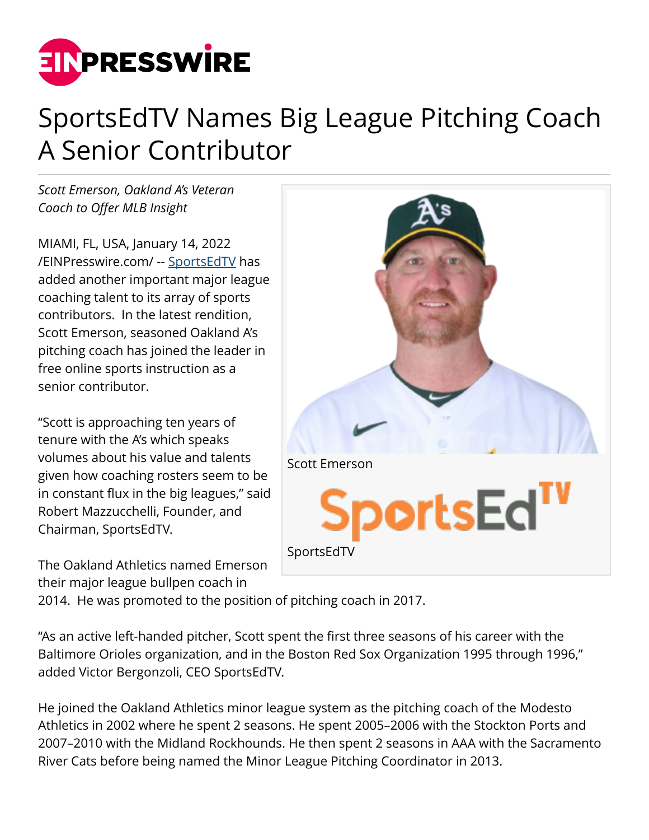

## SportsEdTV Names Big League Pitching Coach A Senior Contributor

*Scott Emerson, Oakland A's Veteran Coach to Offer MLB Insight*

MIAMI, FL, USA, January 14, 2022 [/EINPresswire.com/](http://www.einpresswire.com) -- [SportsEdTV](http://www.sportsedtv.com) has added another important major league coaching talent to its array of sports contributors. In the latest rendition, Scott Emerson, seasoned Oakland A's pitching coach has joined the leader in free online sports instruction as a senior contributor.

"Scott is approaching ten years of tenure with the A's which speaks volumes about his value and talents given how coaching rosters seem to be in constant flux in the big leagues," said Robert Mazzucchelli, Founder, and Chairman, SportsEdTV.

The Oakland Athletics named Emerson their major league bullpen coach in



2014. He was promoted to the position of pitching coach in 2017.

"As an active left-handed pitcher, Scott spent the first three seasons of his career with the Baltimore Orioles organization, and in the Boston Red Sox Organization 1995 through 1996," added Victor Bergonzoli, CEO SportsEdTV.

He joined the Oakland Athletics minor league system as the pitching coach of the Modesto Athletics in 2002 where he spent 2 seasons. He spent 2005–2006 with the Stockton Ports and 2007–2010 with the Midland Rockhounds. He then spent 2 seasons in AAA with the Sacramento River Cats before being named the Minor League Pitching Coordinator in 2013.